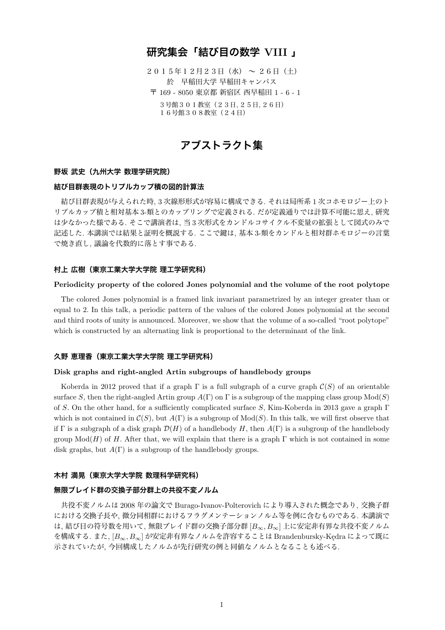# **研究集会「結び目の数学 VIII 」**

 $20154127231 ($ 水) ~ 26日(土) 於 早稲田大学 早稲田キャンパス 〒 169 - 8050 東京都 新宿区 西早稲田 1 - 6 - 1 3号館301教室(23日*,* 25日*,* 26日) 16号館308教室(24日)

# **アブストラクト集**

# **野坂 武史(九州大学 数理学研究院)**

## **結び目群表現のトリプルカップ積の図的計算法**

結び目群表現が与えられた時, 3 次線形形式が容易に構成できる. それは局所系 1 次コホモロジー上のト リプルカップ積と相対基本 3-類とのカップリングで定義される. だが定義通りでは計算不可能に思え, 研究 は少なかった様である. そこで講演者は, 当 3 次形式をカンドルコサイクル不変量の拡張として図式のみで 記述した. 本講演では結果と証明を概説する. ここで鍵は, 基本 3-類をカンドルと相対群ホモロジーの言葉 で焼き直し, 議論を代数的に落とす事である.

## **村上 広樹(東京工業大学大学院 理工学研究科)**

#### **Periodicity property of the colored Jones polynomial and the volume of the root polytope**

The colored Jones polynomial is a framed link invariant parametrized by an integer greater than or equal to 2. In this talk, a periodic pattern of the values of the colored Jones polynomial at the second and third roots of unity is announced. Moreover, we show that the volume of a so-called "root polytope" which is constructed by an alternating link is proportional to the determinant of the link.

## **久野 恵理香(東京工業大学大学院 理工学研究科)**

## **Disk graphs and right-angled Artin subgroups of handlebody groups**

Koberda in 2012 proved that if a graph Γ is a full subgraph of a curve graph *C*(*S*) of an orientable surface *S*, then the right-angled Artin group  $A(\Gamma)$  on  $\Gamma$  is a subgroup of the mapping class group  $Mod(S)$ of *S*. On the other hand, for a sufficiently complicated surface *S*, Kim-Koberda in 2013 gave a graph Γ which is not contained in  $\mathcal{C}(S)$ , but  $A(\Gamma)$  is a subgroup of  $Mod(S)$ . In this talk, we will first observe that if  $\Gamma$  is a subgraph of a disk graph  $\mathcal{D}(H)$  of a handlebody  $H$ , then  $A(\Gamma)$  is a subgroup of the handlebody group  $Mod(H)$  of *H*. After that, we will explain that there is a graph  $\Gamma$  which is not contained in some disk graphs, but  $A(\Gamma)$  is a subgroup of the handlebody groups.

#### **木村 満晃(東京大学大学院 数理科学研究科)**

## **無限ブレイド群の交換子部分群上の共役不変ノルム**

共役不変ノルムは 2008 年の論文で Burago-Ivanov-Polterovich により導入された概念であり, 交換子群 における交換子長や, 微分同相群におけるフラグメンテーションノルム等を例に含むものである. 本講演で <sup>は</sup>, 結び目の符号数を用いて, 無限ブレイド群の交換子部分群 [*B∞, B∞*] 上に安定非有界な共役不変ノルム を構成する. また, [*B∞, B∞*] が安定非有界なノルムを許容することは Brandenbursky-Kędra によって既に 示されていたが, 今回構成したノルムが先行研究の例と同値なノルムとなることも述べる.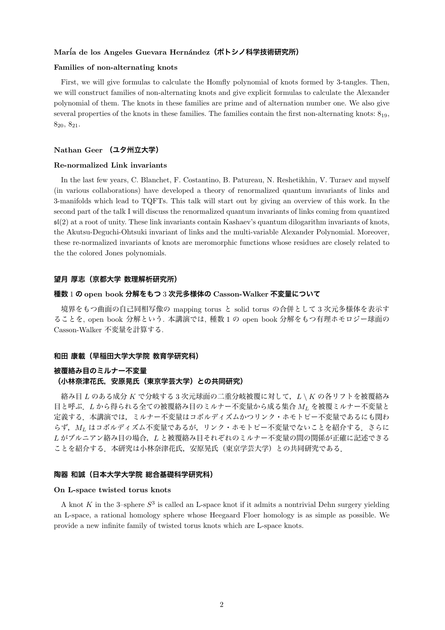# **Mar´ia de los Angeles Guevara Hern´andez(ポトシノ科学技術研究所)**

## **Families of non-alternating knots**

First, we will give formulas to calculate the Homfly polynomial of knots formed by 3-tangles. Then, we will construct families of non-alternating knots and give explicit formulas to calculate the Alexander polynomial of them. The knots in these families are prime and of alternation number one. We also give several properties of the knots in these families. The families contain the first non-alternating knots: 819,  $8_{20}$ ,  $8_{21}$ .

#### **Nathan Geer (ユタ州立大学)**

#### **Re-normalized Link invariants**

In the last few years, C. Blanchet, F. Costantino, B. Patureau, N. Reshetikhin, V. Turaev and myself (in various collaborations) have developed a theory of renormalized quantum invariants of links and 3-manifolds which lead to TQFTs. This talk will start out by giving an overview of this work. In the second part of the talk I will discuss the renormalized quantum invariants of links coming from quantized  $\mathfrak{sl}(2)$  at a root of unity. These link invariants contain Kashaev's quantum dilogarithm invariants of knots, the Akutsu-Deguchi-Ohtsuki invariant of links and the multi-variable Alexander Polynomial. Moreover, these re-normalized invariants of knots are meromorphic functions whose residues are closely related to the the colored Jones polynomials.

#### **望月 厚志(京都大学 数理解析研究所)**

# **種数** 1 **の open book 分解をもつ** 3 **次元多様体の Casson-Walker 不変量について**

境界をもつ曲面の自己同相写像の mapping torus と solid torus の合併として 3 次元多様体を表示す ることを, open book 分解という. 本講演では, 種数 1 の open book 分解をもつ有理ホモロジー球面の Casson-Walker 不変量を計算する.

#### **和田 康載(早稲田大学大学院 教育学研究科)**

# **被覆絡み目のミルナー不変量 (小林奈津花氏,安原晃氏(東京学芸大学)との共同研究)**

絡み目 *L* のある成分 *K* で分岐する 3 次元球面の二重分岐被覆に対して,*L \ K* の各リフトを被覆絡み 目と呼ぶ.*L* から得られる全ての被覆絡み目のミルナー不変量から成る集合 *M<sup>L</sup>* を被覆ミルナー不変量と 定義する.本講演では,ミルナー不変量はコボルディズムかつリンク・ホモトピー不変量であるにも関わ らず,*M<sup>L</sup>* はコボルディズム不変量であるが,リンク・ホモトピー不変量でないことを紹介する.さらに *L* がブルニアン絡み目の場合,*L* と被覆絡み目それぞれのミルナー不変量の間の関係が正確に記述できる ことを紹介する.本研究は小林奈津花氏,安原晃氏(東京学芸大学)との共同研究である.

#### **陶器 和誠(日本大学大学院 総合基礎科学研究科)**

#### **On L-space twisted torus knots**

A knot *K* in the 3–sphere *S* 3 is called an L-space knot if it admits a nontrivial Dehn surgery yielding an L-space, a rational homology sphere whose Heegaard Floer homology is as simple as possible. We provide a new infinite family of twisted torus knots which are L-space knots.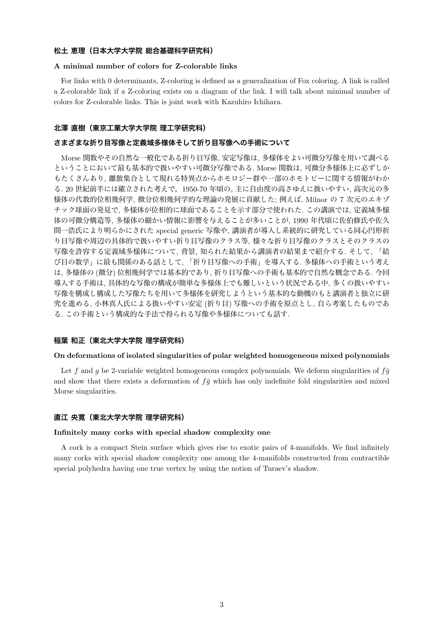#### **松土 恵理(日本大学大学院 総合基礎科学研究科)**

#### **A minimal number of colors for Z-colorable links**

For links with 0 determinants, Z-coloring is defined as a generalization of Fox coloring. A link is called a Z-colorable link if a Z-coloring exists on a diagram of the link. I will talk about minimal number of colors for Z-colorable links. This is joint work with Kazuhiro Ichihara.

# **北澤 直樹(東京工業大学大学院 理工学研究科)**

## **さまざまな折り目写像と定義域多様体そして折り目写像への手術について**

Morse 関数やその自然な一般化である折り目写像, 安定写像は, 多様体をよい可微分写像を用いて調べる ということにおいて最も基本的で扱いやすい可微分写像である. Morse 関数は, 可微分多様体上に必ずしか もたくさんあり, 離散集合として現れる特異点からホモロジー群や一部のホモトピーに関する情報がわか る. 20 世紀前半には確立された考えで,1950-70 年頃の, 主に自由度の高さゆえに扱いやすい, 高次元の多 様体の代数的位相幾何学, 微分位相幾何学的な理論の発展に貢献した; 例えば, Milnor の 7 次元のエキゾ チック球面の発見で, 多様体が位相的に球面であることを示す部分で使われた. この講演では, 定義域多様 体の可微分構造等, 多様体の細かい情報に影響を与えることが多いことが, 1990 年代頃に佐伯修氏や佐久 間一浩氏により明らかにされた special generic 写像や, 講演者が導入し系統的に研究している同心円形折 り目写像や周辺の具体的で扱いやすい折り目写像のクラス等, 様々な折り目写像のクラスとそのクラスの 写像を許容する定義域多様体について, 背景, 知られた結果から講演者の結果まで紹介する. そして, 「結 び目の数学」に最も関係のある話として, 「折り目写像への手術」を導入する. 多様体への手術という考え は, 多様体の (微分) 位相幾何学では基本的であり, 折り目写像への手術も基本的で自然な概念である. 今回 導入する手術は, 具体的な写像の構成が簡単な多様体上でも難しいという状況である中, 多くの扱いやすい 写像を構成し構成した写像たちを用いて多様体を研究しようという基本的な動機のもと講演者と独立に研 究を進める, 小林真人氏による扱いやすい安定 (折り目) 写像への手術を原点とし, 自ら考案したものであ る. この手術という構成的な手法で得られる写像や多様体についても話す.

## **稲葉 和正(東北大学大学院 理学研究科)**

#### **On deformations of isolated singularities of polar weighted homogeneous mixed polynomials**

Let f and g be 2-variable weighted homogeneous complex polynomials. We deform singularities of  $f\bar{g}$ and show that there exists a deformation of  $f\bar{g}$  which has only indefinite fold singularities and mixed Morse singularities.

#### **直江 央寛(東北大学大学院 理学研究科)**

#### **Infinitely many corks with special shadow complexity one**

A cork is a compact Stein surface which gives rise to exotic pairs of 4-manifolds. We find infinitely many corks with special shadow complexity one among the 4-manifolds constructed from contractible special polyhedra having one true vertex by using the notion of Turaev's shadow.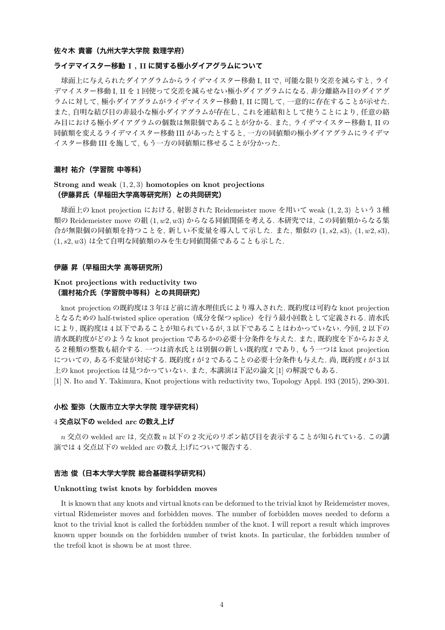#### **佐々木 貴審(九州大学大学院 数理学府)**

## **ライデマイスター移動 I , II に関する極小ダイアグラムについて**

球面上に与えられたダイアグラムからライデマイスター移動 I, II で, 可能な限り交差を減らすと, ライ デマイスター移動 I, II を 1 回使って交差を減らせない極小ダイアグラムになる. 非分離絡み目のダイアグ ラムに対して, 極小ダイアグラムがライデマイスター移動 I, II に関して, 一意的に存在することが示せた. また, 自明な結び目の非最小な極小ダイアグラムが存在し, これを連結和として使うことにより, 任意の絡 み目における極小ダイアグラムの個数は無限個であることが分かる. また, ライデマイスター移動 I, II の 同値類を変えるライデマイスター移動 III があったとすると, 一方の同値類の極小ダイアグラムにライデマ イスター移動 III を施して, もう一方の同値類に移せることが分かった.

#### **瀧村 祐介(学習院 中等科)**

# **Strong and weak** (1*,* 2*,* 3) **homotopies on knot projections (伊藤昇氏(早稲田大学高等研究所)との共同研究)**

球面上の knot projection における, 射影された Reidemeister move を用いて weak (1*,* 2*,* 3) という 3 種 類の Reidemeister move の組 (1*, w*2*, w*3) からなる同値関係を考える. 本研究では, この同値類からなる集 合が無限個の同値類を持つことを, 新しい不変量を導入して示した. また, 類似の (1*, s*2*, s*3), (1*, w*2*, s*3), (1*, s*2*, w*3) は全て自明な同値類のみを生む同値関係であることも示した.

## **伊藤 昇(早稲田大学 高等研究所)**

# **Knot projections with reductivity two (瀧村祐介氏(学習院中等科)との共同研究)**

knot projection の既約度は3年ほど前に清水理佳氏により導入された. 既約度は可約な knot projection となるための half-twisted splice operation(成分を保つ splice)を行う最小回数として定義される. 清水氏 により, 既約度は 4 以下であることが知られているが, 3 以下であることはわかっていない. 今回, 2 以下の 清水既約度がどのような knot projection であるかの必要十分条件を与えた. また, 既約度を下からおさえ る2種類の整数も紹介する. 一つは清水氏とは別個の新しい既約度 *t* であり, もう一つは knot projection についての, ある不変量が対応する. 既約度 *t* が 2 であることの必要十分条件も与えた. 尚, 既約度 *t* が 3 以 上の knot projection は見つかっていない. また, 本講演は下記の論文 [1] の解説でもある.

[1] N. Ito and Y. Takimura, Knot projections with reductivity two, Topology Appl. 193 (2015), 290-301.

#### **小松 聖弥(大阪市立大学大学院 理学研究科)**

# 4 **交点以下の welded arc の数え上げ**

*n* 交点の welded arc は, 交点数 *n* 以下の 2 次元のリボン結び目を表示することが知られている. この講 演では 4 交点以下の welded arc の数え上げについて報告する.

# **吉池 俊(日本大学大学院 総合基礎科学研究科)**

#### **Unknotting twist knots by forbidden moves**

It is known that any knots and virtual knots can be deformed to the trivial knot by Reidemeister moves, virtual Ridemeister moves and forbidden moves. The number of forbidden moves needed to deform a knot to the trivial knot is called the forbidden number of the knot. I will report a result which improves known upper bounds on the forbidden number of twist knots. In particular, the forbidden number of the trefoil knot is shown be at most three.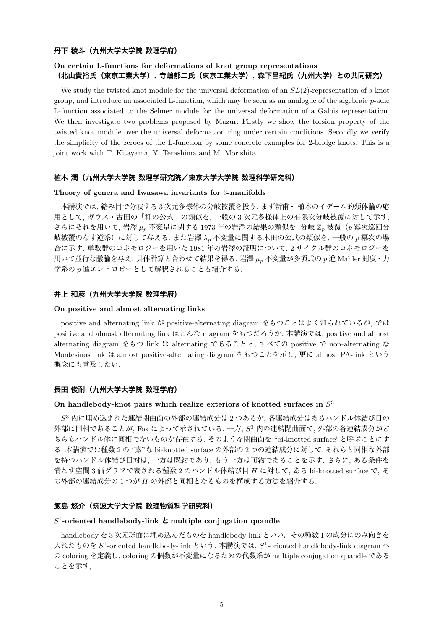#### **丹下 稜斗(九州大学大学院 数理学府)**

# **On certain L-functions for deformations of knot group representations (北山貴裕氏(東京工業大学), 寺嶋郁二氏(東京工業大学), 森下昌紀氏(九州大学)との共同研究)**

We study the twisted knot module for the universal deformation of an  $SL(2)$ -representation of a knot group, and introduce an associated L-function, which may be seen as an analogue of the algebraic *p*-adic L-function associated to the Selmer module for the universal deformation of a Galois representation. We then investigate two problems proposed by Mazur: Firstly we show the torsion property of the twisted knot module over the universal deformation ring under certain conditions. Secondly we verify the simplicity of the zeroes of the L-function by some concrete examples for 2-bridge knots. This is a joint work with T. Kitayama, Y. Terashima and M. Morishita.

#### **植木 潤(九州大学大学院 数理学研究院/東京大学大学院 数理科学研究科)**

#### **Theory of genera and Iwasawa invariants for** 3**-manifolds**

本講演では, 絡み目で分岐する 3 次元多様体の分岐被覆を扱う. まず新甫・ 植木のイデール的類体論の応 用として, ガウス・古田の「種の公式」の類似を, 一般の 3 次元多様体上の有限次分岐被覆に対して示す. さらにそれを用いて, 岩澤 *µ<sup>p</sup>* 不変量に関する 1973 年の岩澤の結果の類似を, 分岐 Z*<sup>p</sup>* 被覆(*p* 冪次巡回分 岐被覆のなす逆系)に対して与える. また岩澤 *λ<sup>p</sup>* 不変量に関する木田の公式の類似を, 一般の *p* 冪次の場 合に示す. 単数群のコホモロジーを用いた 1981 年の岩澤の証明について, 2 サイクル群のコホモロジーを 用いて並行な議論を与え, 具体計算と合わせて結果を得る. 岩澤 *µ<sup>p</sup>* 不変量が多項式の *p* 進 Mahler 測度・力 学系の *p* 進エントロピーとして解釈されることも紹介する.

# **井上 和彦(九州大学大学院 数理学府)**

#### **On positive and almost alternating links**

positive and alternating link が positive-alternating diagram をもつことはよく知られているが, では positive and almost alternating link はどんな diagram をもつだろうか. 本講演では, positive and almost alternating diagram をもつ link は alternating であることと, すべての positive で non-alternating な Montesinos link は almost positive-alternating diagram をもつことを示し, 更に almost PA-link という 概念にも言及したい.

# **長田 俊耐(九州大学大学院 数理学府)**

# **On handlebody-knot pairs which realize exteriors of knotted surfaces in** *S* 3

 $S^3$  内に埋め込まれた連結閉曲面の外部の連結成分は2つあるが, 各連結成分はあるハンドル体結び目の 外部に同相であることが, Fox によって示されている. 一方, *S* <sup>3</sup> 内の連結閉曲面で, 外部の各連結成分がど ちらもハンドル体に同相でないものが存在する. そのような閉曲面を "bi-knotted surface"と呼ぶことにす る. 本講演では種数 2 の "素"な bi-knotted surface の外部の 2 つの連結成分に対して, それらと同相な外部 を持つハンドル体結び目対は, 一方は既約であり, もう一方は可約であることを示す. さらに, ある条件を 満たす空間 3 価グラフで表される種数 2 のハンドル体結び目 *H* に対して, ある bi-knotted surface で, そ の外部の連結成分の 1 つが *H* の外部と同相となるものを構成する方法を紹介する.

## **飯島 悠介(筑波大学大学院 数理物質科学研究科)**

# *S* 1 **-oriented handlebody-link と multiple conjugation quandle**

handlebody を 3 次元球面に埋め込んだものを handlebody-link といい,その種数 1 の成分にのみ向きを 入れたものを *S* 1 -oriented handlebody-link という. 本講演では, *S* 1 -oriented handlebody-link diagram へ の coloring を定義し, coloring の個数が不変量になるための代数系が multiple conjugation quandle である ことを示す.